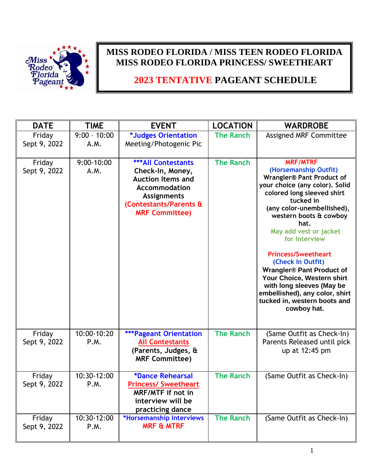

## **MISS RODEO FLORIDA / MISS TEEN RODEO FLORIDA MISS RODEO FLORIDA PRINCESS/ SWEETHEART**

## **2023 TENTATIVE PAGEANT SCHEDULE**

| <b>DATE</b>            | <b>TIME</b>            | <b>EVENT</b>                                                                                                                                                               | <b>LOCATION</b>  | <b>WARDROBE</b>                                                                                                                                                                                                                                                                                                                                                                                                                                                                                         |
|------------------------|------------------------|----------------------------------------------------------------------------------------------------------------------------------------------------------------------------|------------------|---------------------------------------------------------------------------------------------------------------------------------------------------------------------------------------------------------------------------------------------------------------------------------------------------------------------------------------------------------------------------------------------------------------------------------------------------------------------------------------------------------|
| Friday<br>Sept 9, 2022 | $9:00 - 10:00$<br>A.M. | *Judges Orientation<br>Meeting/Photogenic Pic                                                                                                                              | <b>The Ranch</b> | Assigned MRF Committee                                                                                                                                                                                                                                                                                                                                                                                                                                                                                  |
| Friday<br>Sept 9, 2022 | $9:00-10:00$<br>A.M.   | <b>***All Contestants</b><br>Check-In, Money,<br><b>Auction Items and</b><br><b>Accommodation</b><br><b>Assignments</b><br>(Contestants/Parents &<br><b>MRF Committee)</b> | <b>The Ranch</b> | <b>MRF/MTRF</b><br>(Horsemanship Outfit)<br><b>Wrangler® Pant Product of</b><br>your choice (any color). Solid<br>colored long sleeved shirt<br>tucked in<br>(any color-unembellished),<br>western boots & cowboy<br>hat.<br>May add vest or jacket<br>for Interview<br><b>Princess/Sweetheart</b><br>(Check In Outfit)<br><b>Wrangler® Pant Product of</b><br>Your Choice, Western shirt<br>with long sleeves (May be<br>embellished), any color, shirt<br>tucked in, western boots and<br>cowboy hat. |
| Friday<br>Sept 9, 2022 | 10:00-10:20<br>P.M.    | <b>***Pageant Orientation</b><br><b>All Contestants</b><br>(Parents, Judges, &<br><b>MRF Committee)</b>                                                                    | <b>The Ranch</b> | (Same Outfit as Check-In)<br>Parents Released until pick<br>up at 12:45 pm                                                                                                                                                                                                                                                                                                                                                                                                                              |
| Friday<br>Sept 9, 2022 | 10:30-12:00<br>P.M.    | *Dance Rehearsal<br><b>Princess/ Sweetheart</b><br>MRF/MTF if not in<br>interview will be<br>practicing dance                                                              | <b>The Ranch</b> | (Same Outfit as Check-In)                                                                                                                                                                                                                                                                                                                                                                                                                                                                               |
| Friday<br>Sept 9, 2022 | 10:30-12:00<br>P.M.    | *Horsemanship Interviews<br><b>MRF &amp; MTRF</b>                                                                                                                          | <b>The Ranch</b> | (Same Outfit as Check-In)                                                                                                                                                                                                                                                                                                                                                                                                                                                                               |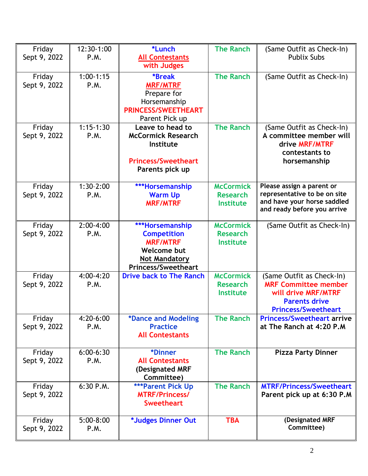| Friday       | 12:30-1:00    | *Lunch                             | <b>The Ranch</b> | (Same Outfit as Check-In)                                   |
|--------------|---------------|------------------------------------|------------------|-------------------------------------------------------------|
| Sept 9, 2022 | P.M.          | <b>All Contestants</b>             |                  | <b>Publix Subs</b>                                          |
|              |               | with Judges                        |                  |                                                             |
| Friday       | $1:00-1:15$   | <b>*Break</b>                      | <b>The Ranch</b> | (Same Outfit as Check-In)                                   |
| Sept 9, 2022 | P.M.          | <b>MRF/MTRF</b>                    |                  |                                                             |
|              |               | Prepare for                        |                  |                                                             |
|              |               | Horsemanship                       |                  |                                                             |
|              |               | <b>PRINCESS/SWEETHEART</b>         |                  |                                                             |
|              |               |                                    |                  |                                                             |
|              | $1:15-1:30$   | Parent Pick up<br>Leave to head to | <b>The Ranch</b> |                                                             |
| Friday       |               |                                    |                  | (Same Outfit as Check-In)                                   |
| Sept 9, 2022 | P.M.          | <b>McCormick Research</b>          |                  | A committee member will                                     |
|              |               | Institute                          |                  | drive MRF/MTRF                                              |
|              |               |                                    |                  | contestants to                                              |
|              |               | <b>Princess/Sweetheart</b>         |                  | horsemanship                                                |
|              |               | Parents pick up                    |                  |                                                             |
|              |               |                                    |                  |                                                             |
| Friday       | $1:30-2:00$   | ***Horsemanship                    | <b>McCormick</b> | Please assign a parent or                                   |
| Sept 9, 2022 | P.M.          | <b>Warm Up</b>                     | <b>Research</b>  | representative to be on site<br>and have your horse saddled |
|              |               | <b>MRF/MTRF</b>                    | <b>Institute</b> | and ready before you arrive                                 |
|              |               |                                    |                  |                                                             |
| Friday       | $2:00-4:00$   | ***Horsemanship                    | <b>McCormick</b> | (Same Outfit as Check-In)                                   |
| Sept 9, 2022 | P.M.          | <b>Competition</b>                 | <b>Research</b>  |                                                             |
|              |               | <b>MRF/MTRF</b>                    | <b>Institute</b> |                                                             |
|              |               | <b>Welcome but</b>                 |                  |                                                             |
|              |               | <b>Not Mandatory</b>               |                  |                                                             |
|              |               | <b>Princess/Sweetheart</b>         |                  |                                                             |
| Friday       | 4:00-4:20     | <b>Drive back to The Ranch</b>     | <b>McCormick</b> | (Same Outfit as Check-In)                                   |
| Sept 9, 2022 | P.M.          |                                    | <b>Research</b>  | <b>MRF Committee member</b>                                 |
|              |               |                                    | <b>Institute</b> | will drive MRF/MTRF                                         |
|              |               |                                    |                  | <b>Parents drive</b>                                        |
|              |               |                                    |                  | <b>Princess/Sweetheart</b>                                  |
| Friday       | 4:20-6:00     | *Dance and Modeling                | <b>The Ranch</b> | <b>Princess/Sweetheart arrive</b>                           |
| Sept 9, 2022 | P.M.          | <b>Practice</b>                    |                  | at The Ranch at 4:20 P.M                                    |
|              |               | <b>All Contestants</b>             |                  |                                                             |
|              |               |                                    |                  |                                                             |
| Friday       | $6:00 - 6:30$ | *Dinner                            | <b>The Ranch</b> | <b>Pizza Party Dinner</b>                                   |
| Sept 9, 2022 | P.M.          | <b>All Contestants</b>             |                  |                                                             |
|              |               | (Designated MRF                    |                  |                                                             |
|              |               | Committee)                         |                  |                                                             |
| Friday       | 6:30 P.M.     | <b>***Parent Pick Up</b>           | <b>The Ranch</b> | <b>MTRF/Princess/Sweetheart</b>                             |
| Sept 9, 2022 |               | <b>MTRF/Princess/</b>              |                  | Parent pick up at 6:30 P.M                                  |
|              |               | <b>Sweetheart</b>                  |                  |                                                             |
|              |               |                                    |                  |                                                             |
| Friday       | $5:00-8:00$   | *Judges Dinner Out                 | <b>TBA</b>       | (Designated MRF                                             |
| Sept 9, 2022 | P.M.          |                                    |                  | Committee)                                                  |
|              |               |                                    |                  |                                                             |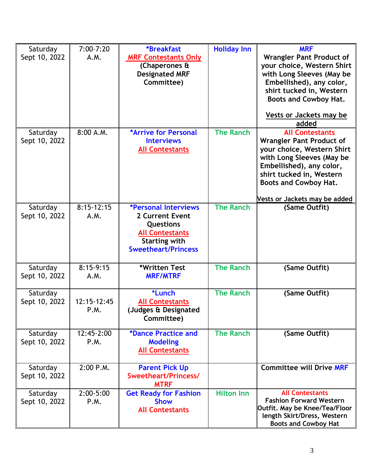| Saturday      | $7:00 - 7:20$ | <i><b>*Breakfast</b></i>     | <b>Holiday Inn</b> | <b>MRF</b>                      |
|---------------|---------------|------------------------------|--------------------|---------------------------------|
| Sept 10, 2022 | A.M.          | <b>MRF Contestants Only</b>  |                    | <b>Wrangler Pant Product of</b> |
|               |               | (Chaperones &                |                    | your choice, Western Shirt      |
|               |               | <b>Designated MRF</b>        |                    | with Long Sleeves (May be       |
|               |               | Committee)                   |                    | Embellished), any color,        |
|               |               |                              |                    | shirt tucked in, Western        |
|               |               |                              |                    | <b>Boots and Cowboy Hat.</b>    |
|               |               |                              |                    |                                 |
|               |               |                              |                    | <b>Vests or Jackets may be</b>  |
|               |               |                              |                    | added                           |
| Saturday      | 8:00 A.M.     | *Arrive for Personal         | <b>The Ranch</b>   | <b>All Contestants</b>          |
| Sept 10, 2022 |               | <b>Interviews</b>            |                    | <b>Wrangler Pant Product of</b> |
|               |               | <b>All Contestants</b>       |                    | your choice, Western Shirt      |
|               |               |                              |                    | with Long Sleeves (May be       |
|               |               |                              |                    | Embellished), any color,        |
|               |               |                              |                    | shirt tucked in, Western        |
|               |               |                              |                    | <b>Boots and Cowboy Hat.</b>    |
|               |               |                              |                    |                                 |
|               |               |                              |                    | Vests or Jackets may be added   |
| Saturday      | $8:15-12:15$  | <b>*Personal Interviews</b>  | <b>The Ranch</b>   | (Same Outfit)                   |
| Sept 10, 2022 | A.M.          | <b>2 Current Event</b>       |                    |                                 |
|               |               | <b>Questions</b>             |                    |                                 |
|               |               | <b>All Contestants</b>       |                    |                                 |
|               |               | <b>Starting with</b>         |                    |                                 |
|               |               | <b>Sweetheart/Princess</b>   |                    |                                 |
|               |               |                              |                    |                                 |
| Saturday      | $8:15-9:15$   | *Written Test                | <b>The Ranch</b>   | (Same Outfit)                   |
| Sept 10, 2022 | A.M.          | <b>MRF/MTRF</b>              |                    |                                 |
|               |               |                              |                    |                                 |
| Saturday      |               | *Lunch                       | <b>The Ranch</b>   | (Same Outfit)                   |
| Sept 10, 2022 | 12:15-12:45   | <b>All Contestants</b>       |                    |                                 |
|               | P.M.          | (Judges & Designated         |                    |                                 |
|               |               | Committee)                   |                    |                                 |
| Saturday      | 12:45-2:00    | *Dance Practice and          | <b>The Ranch</b>   | (Same Outfit)                   |
| Sept 10, 2022 | P.M.          | <b>Modeling</b>              |                    |                                 |
|               |               | <b>All Contestants</b>       |                    |                                 |
|               |               |                              |                    |                                 |
| Saturday      | 2:00 P.M.     | <b>Parent Pick Up</b>        |                    | <b>Committee will Drive MRF</b> |
| Sept 10, 2022 |               | Sweetheart/Princess/         |                    |                                 |
|               |               | <b>MTRF</b>                  |                    |                                 |
| Saturday      | $2:00-5:00$   | <b>Get Ready for Fashion</b> | <b>Hilton Inn</b>  | <b>All Contestants</b>          |
| Sept 10, 2022 | P.M.          | <b>Show</b>                  |                    | <b>Fashion Forward Western</b>  |
|               |               | <b>All Contestants</b>       |                    | Outfit. May be Knee/Tea/Floor   |
|               |               |                              |                    | length Skirt/Dress, Western     |
|               |               |                              |                    | <b>Boots and Cowboy Hat</b>     |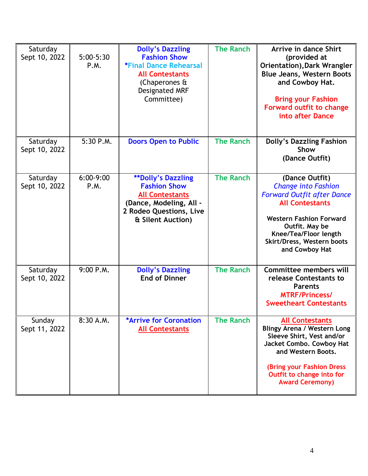| Saturday<br>Sept 10, 2022 | $5:00-5:30$<br><b>P.M.</b> | <b>Dolly's Dazzling</b><br><b>Fashion Show</b><br><b>*Final Dance Rehearsal</b><br><b>All Contestants</b><br>(Chaperones &<br>Designated MRF<br>Committee) | <b>The Ranch</b> | Arrive in dance Shirt<br>(provided at<br><b>Orientation), Dark Wrangler</b><br><b>Blue Jeans, Western Boots</b><br>and Cowboy Hat.<br><b>Bring your Fashion</b><br><b>Forward outfit to change</b><br>into after Dance                   |
|---------------------------|----------------------------|------------------------------------------------------------------------------------------------------------------------------------------------------------|------------------|------------------------------------------------------------------------------------------------------------------------------------------------------------------------------------------------------------------------------------------|
| Saturday<br>Sept 10, 2022 | 5:30 P.M.                  | <b>Doors Open to Public</b>                                                                                                                                | <b>The Ranch</b> | <b>Dolly's Dazzling Fashion</b><br>Show<br>(Dance Outfit)                                                                                                                                                                                |
| Saturday<br>Sept 10, 2022 | $6:00-9:00$<br>P.M.        | <b>**Dolly's Dazzling</b><br><b>Fashion Show</b><br><b>All Contestants</b><br>(Dance, Modeling, All -<br>2 Rodeo Questions, Live<br>& Silent Auction)      | <b>The Ranch</b> | (Dance Outfit)<br><b>Change into Fashion</b><br><b>Forward Outfit after Dance</b><br><b>All Contestants</b><br><b>Western Fashion Forward</b><br>Outfit. May be<br>Knee/Tea/Floor length<br>Skirt/Dress, Western boots<br>and Cowboy Hat |
| Saturday<br>Sept 10, 2022 | 9:00 P.M.                  | <b>Dolly's Dazzling</b><br><b>End of Dinner</b>                                                                                                            | <b>The Ranch</b> | <b>Committee members will</b><br>release Contestants to<br><b>Parents</b><br><b>MTRF/Princess/</b><br><b>Sweetheart Contestants</b>                                                                                                      |
| Sunday<br>Sept 11, 2022   | 8:30 A.M.                  | <b>*Arrive for Coronation</b><br><b>All Contestants</b>                                                                                                    | <b>The Ranch</b> | <b>All Contestants</b><br><b>Blingy Arena / Western Long</b><br>Sleeve Shirt, Vest and/or<br>Jacket Combo. Cowboy Hat<br>and Western Boots.<br>(Bring your Fashion Dress<br>Outfit to change into for<br><b>Award Ceremony)</b>          |